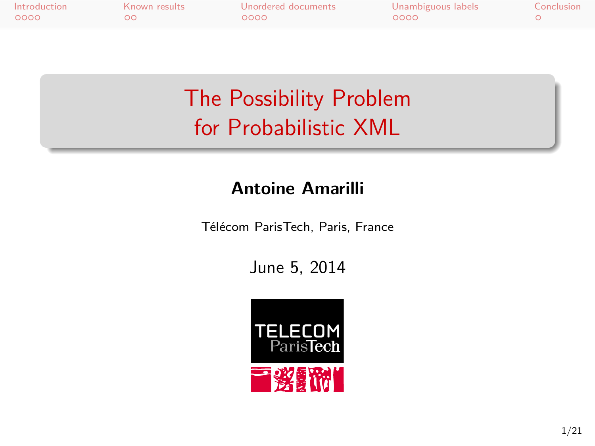Introduction Known results Unordered documents Unambiguous labels Conclusion

## The Possibility Problem for Probabilistic XML

#### **Antoine Amarilli**

Télécom ParisTech, Paris, France

June 5, 2014

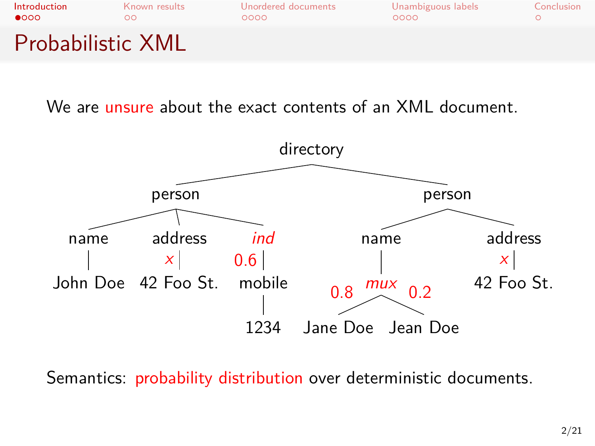

We are unsure about the exact contents of an XML document.



Semantics: probability distribution over deterministic documents.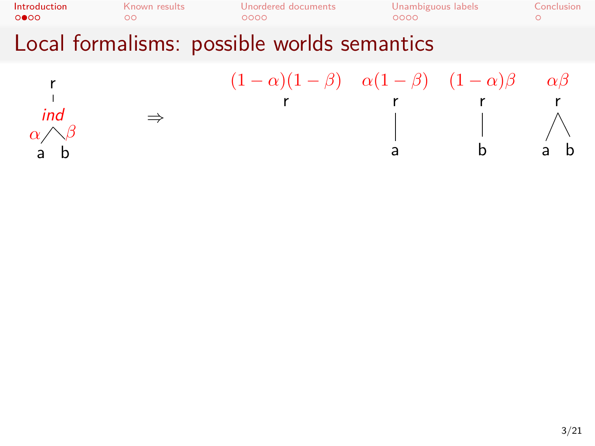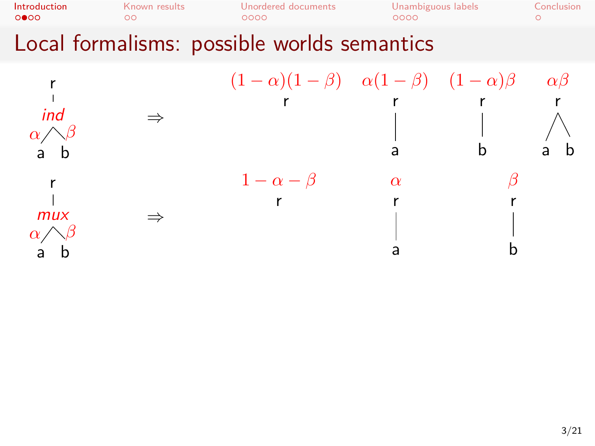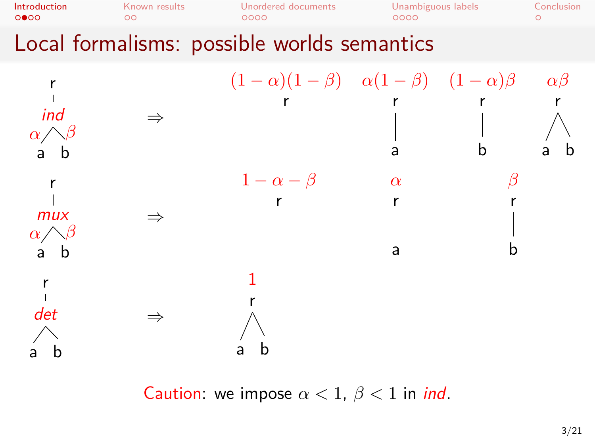

Caution: we impose  $\alpha < 1$ ,  $\beta < 1$  in *ind*.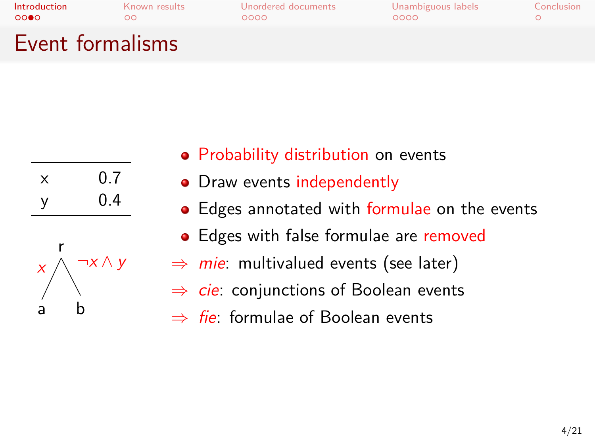# Introduction Known results Unordered documents Unambiguous labels Conclusion Event formalisms

| x | 0.7 |
|---|-----|
| у | 0.4 |



- **•** Probability distribution on events
- Draw events independently
- Edges annotated with formulae on the events
- Edges with false formulae are removed
- *⇒ mie*: multivalued events (see later)
- *⇒ cie*: conjunctions of Boolean events
- *⇒ fie*: formulae of Boolean events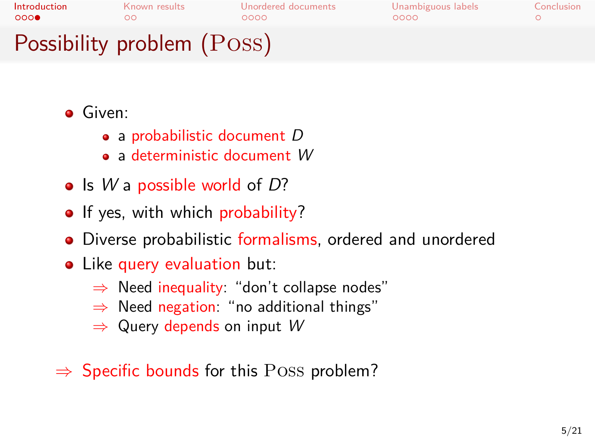# **Introduction** Known results Unordered documents Unambiguous labels Conclusion OOO O CONCLUSION CONCLUSION CONCLUSION

# Possibility problem (Poss)

#### **Given:**

- a probabilistic document *D*
- a deterministic document *W*
- Is *W* a possible world of *D*?
- If yes, with which probability?
- Diverse probabilistic formalisms, ordered and unordered
- Like query evaluation but:
	- *⇒* Need inequality: "don't collapse nodes"
	- *⇒* Need negation: "no additional things"
	- *⇒* Query depends on input *W*
- *⇒* Specific bounds for this Poss problem?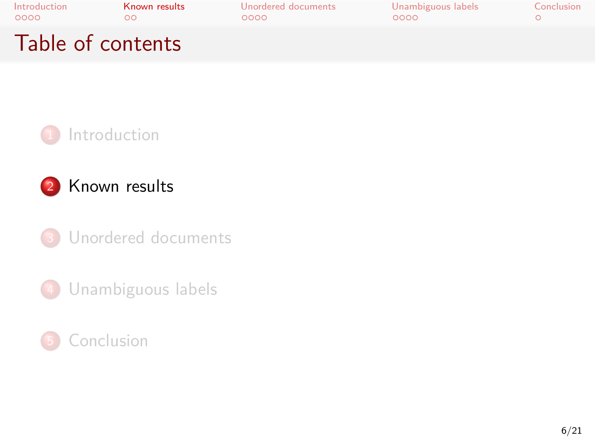



Conclusion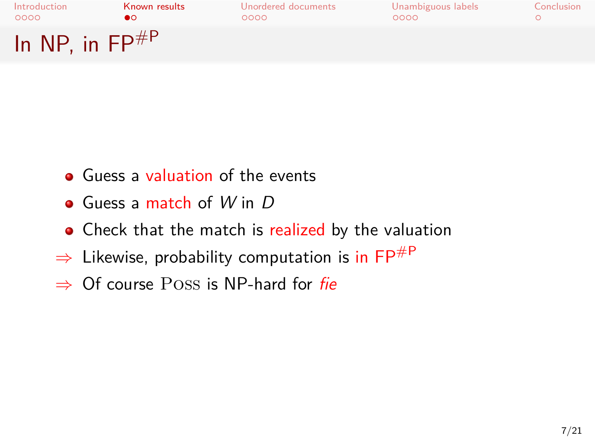| Introduction<br>0000          | Known results | Unordered documents<br>റററെ | Unambiguous labels<br>0000 | Conclusion |
|-------------------------------|---------------|-----------------------------|----------------------------|------------|
| In NP, in $\mathsf{FP}^{\#P}$ |               |                             |                            |            |

- Guess a valuation of the events
- Guess a match of *W* in *D*
- Check that the match is realized by the valuation
- *⇒* Likewise, probability computation is in FP#P
- *⇒* Of course Poss is NP-hard for *fie*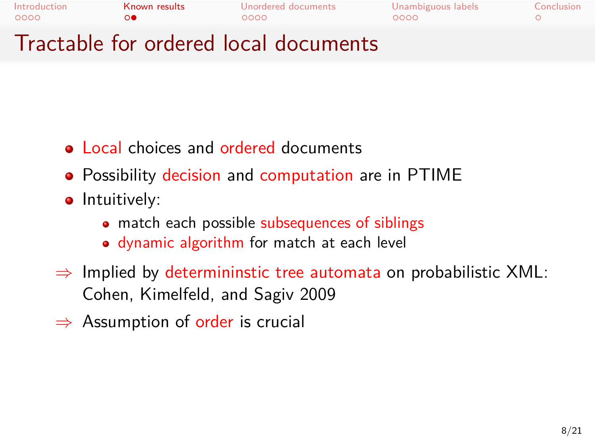

- Local choices and ordered documents
- Possibility decision and computation are in PTIME
- **·** Intuitively:
	- match each possible subsequences of siblings
	- dynamic algorithm for match at each level
- *⇒* Implied by determininstic tree automata on probabilistic XML: Cohen, Kimelfeld, and Sagiv 2009
- *⇒* Assumption of order is crucial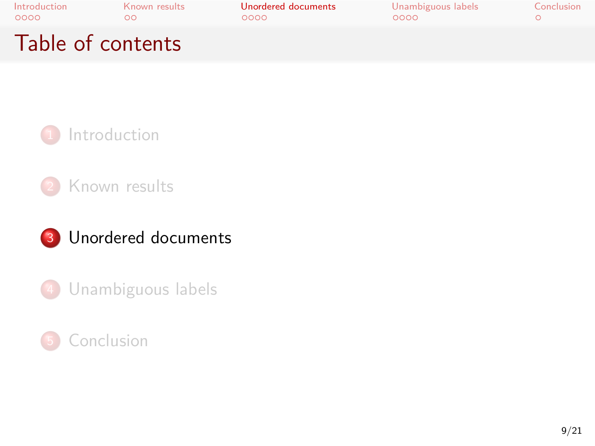



Unambiguous labels

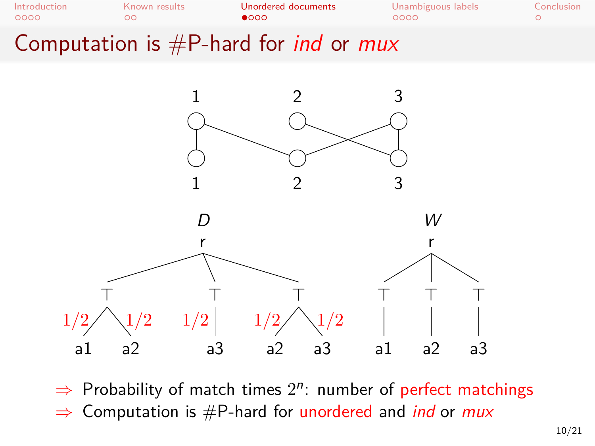

*⇒* Probability of match times 2 *n* : number of perfect matchings

*⇒* Computation is #P-hard for unordered and *ind* or *mux*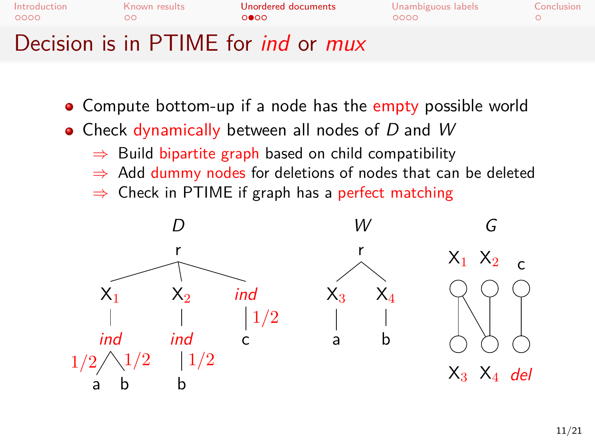

- Compute bottom-up if a node has the empty possible world
- Check dynamically between all nodes of *D* and *W*
	- *⇒* Build bipartite graph based on child compatibility
	- *⇒* Add dummy nodes for deletions of nodes that can be deleted
	- *⇒* Check in PTIME if graph has a perfect matching

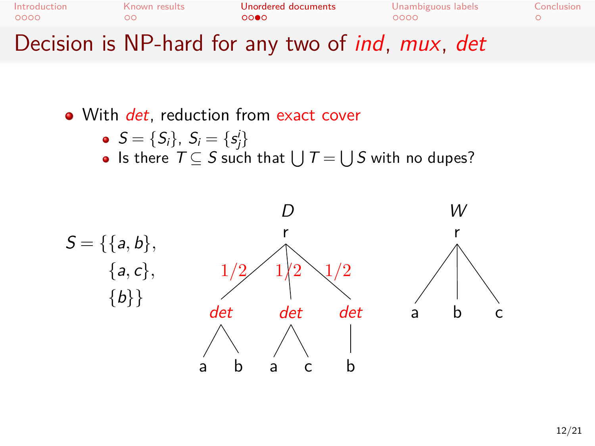

- With *det*, reduction from exact cover
	- $S = \{S_i\}, S_i = \{s_j^i\}$
	- Is there  $T \subseteq S$  such that  $\bigcup T = \bigcup S$  with no dupes?

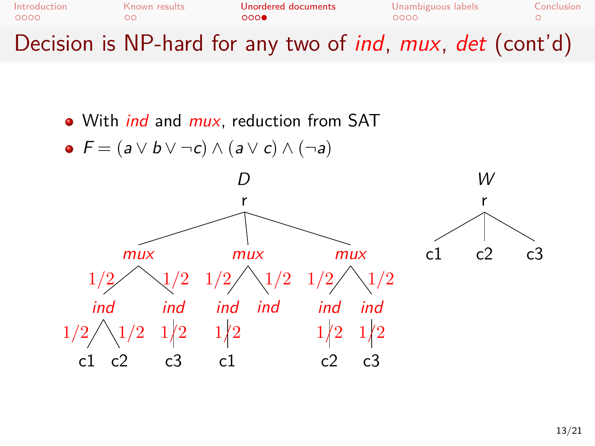

- With *ind* and *mux*, reduction from SAT
- *F* = (*a ∨ b ∨ ¬c*) *∧* (*a ∨ c*) *∧* (*¬a*)

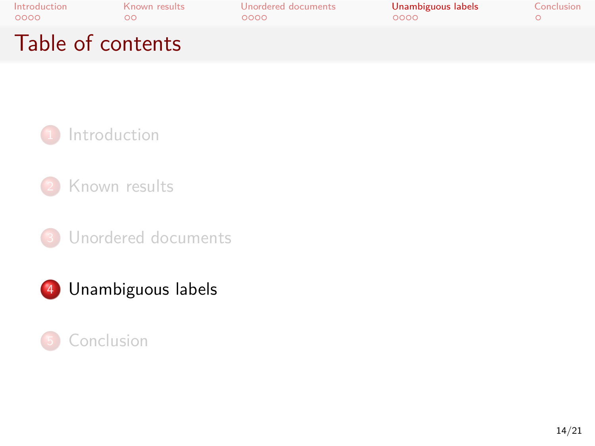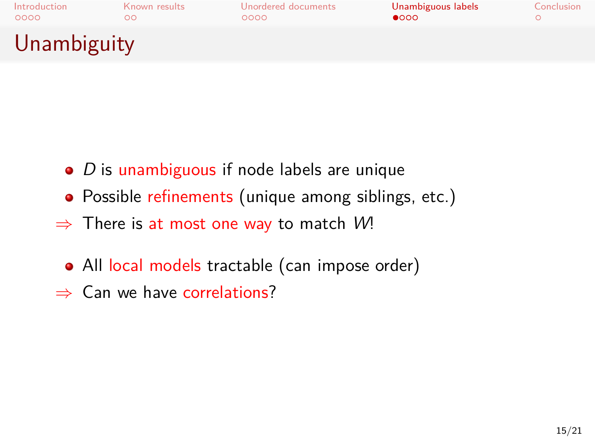

- *D* is unambiguous if node labels are unique
- Possible refinements (unique among siblings, etc.)
- *⇒* There is at most one way to match *W*!
- All local models tractable (can impose order)
- *⇒* Can we have correlations?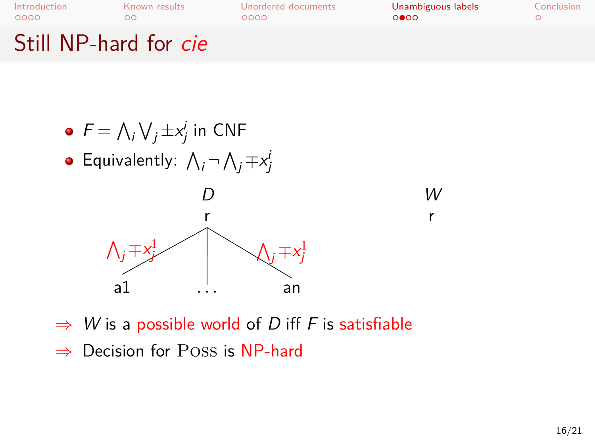

r



- *⇒ W* is a possible world of *D* iff *F* is satisfiable
- *⇒* Decision for Poss is NP-hard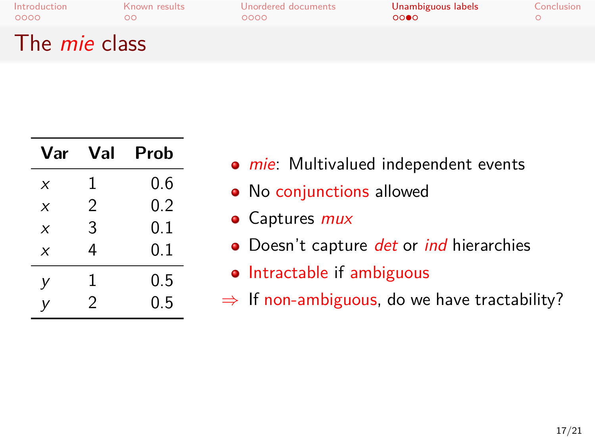### Introduction Known results Unordered documents Unambiguous labels Conclusion OOOO OOO OOOO OOOO

### The *mie* class

| Var                       | Val            | Prob |
|---------------------------|----------------|------|
| X                         | 1              | 0.6  |
| X                         | $\mathfrak{D}$ | 0.2  |
| $\boldsymbol{\mathsf{x}}$ | 3              | 0.1  |
| $\boldsymbol{\mathsf{x}}$ | 4              | 0.1  |
| v                         | 1              | 0.5  |
| v                         | 2              | 0.5  |

- *mie*: Multivalued independent events
- No conjunctions allowed
- Captures *mux*
- Doesn't capture *det* or *ind* hierarchies
- Intractable if ambiguous
- *⇒* If non-ambiguous, do we have tractability?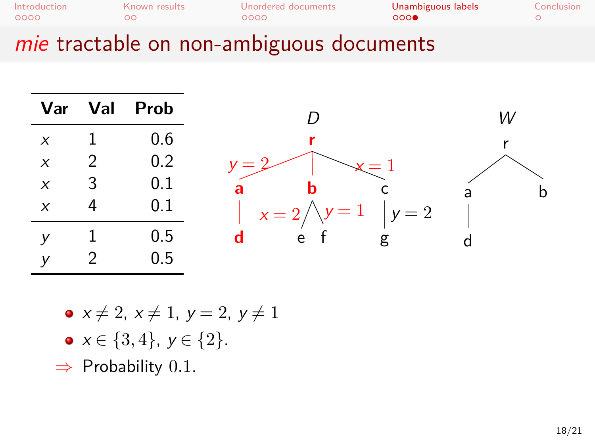| Introduction                             | Known results | Unordered documents | Unambiguous labels | Conclusion |  |  |
|------------------------------------------|---------------|---------------------|--------------------|------------|--|--|
| 0000                                     | ററ            | റററെ                | 000                |            |  |  |
| mie tractable on non-ambiguous documents |               |                     |                    |            |  |  |



- $x \neq 2, x \neq 1, y = 2, y \neq 1$
- *x ∈ {*3*,* 4*}*, *y ∈ {*2*}*.
- *⇒* Probability 0*.*1.

r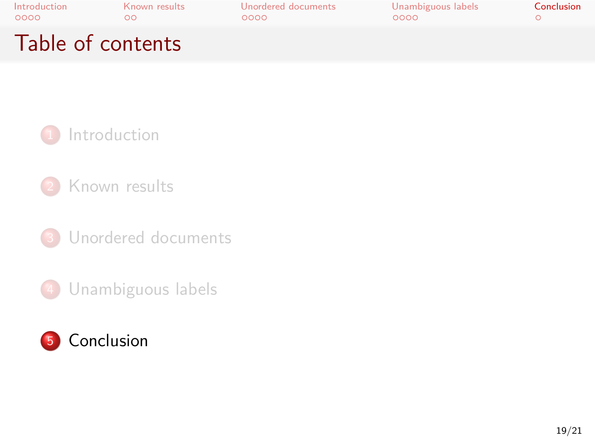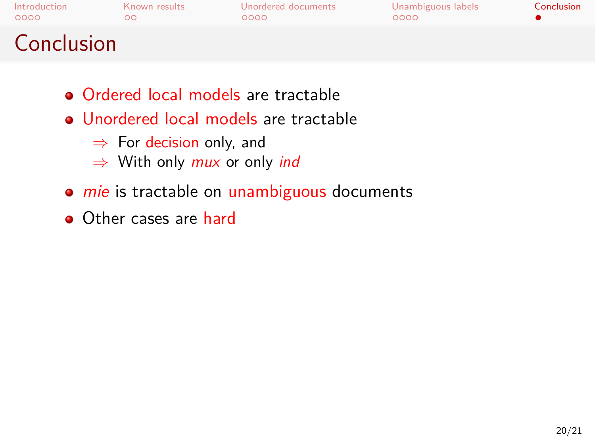

- Ordered local models are tractable
- Unordered local models are tractable
	- *⇒* For decision only, and
	- *⇒* With only *mux* or only *ind*
- *mie* is tractable on unambiguous documents
- Other cases are hard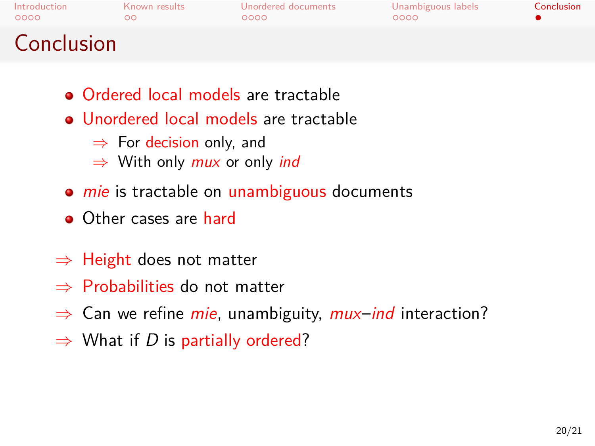# Introduction Known results Unordered documents Unambiguous labels Conclusion **Conclusion**

- Ordered local models are tractable
- Unordered local models are tractable
	- *⇒* For decision only, and
	- *⇒* With only *mux* or only *ind*
- *mie* is tractable on unambiguous documents
- Other cases are hard
- *⇒* Height does not matter
- *⇒* Probabilities do not matter
- *⇒* Can we refine *mie*, unambiguity, *mux*–*ind* interaction?
- *⇒* What if *D* is partially ordered?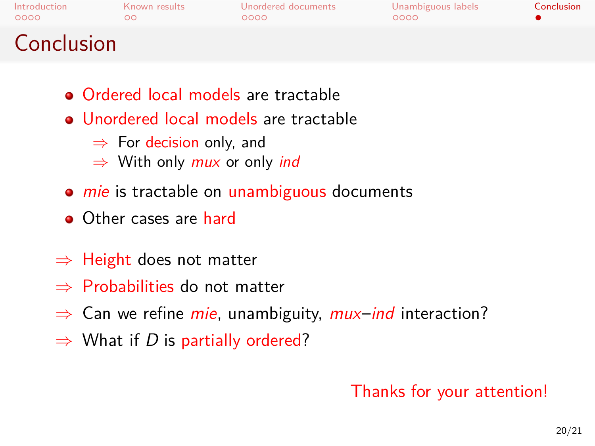# Introduction Known results Unordered documents Unambiguous labels Conclusion **Conclusion**

- Ordered local models are tractable
- Unordered local models are tractable
	- *⇒* For decision only, and
	- *⇒* With only *mux* or only *ind*
- *mie* is tractable on unambiguous documents
- Other cases are hard
- *⇒* Height does not matter
- *⇒* Probabilities do not matter
- *⇒* Can we refine *mie*, unambiguity, *mux*–*ind* interaction?
- *⇒* What if *D* is partially ordered?

Thanks for your attention!